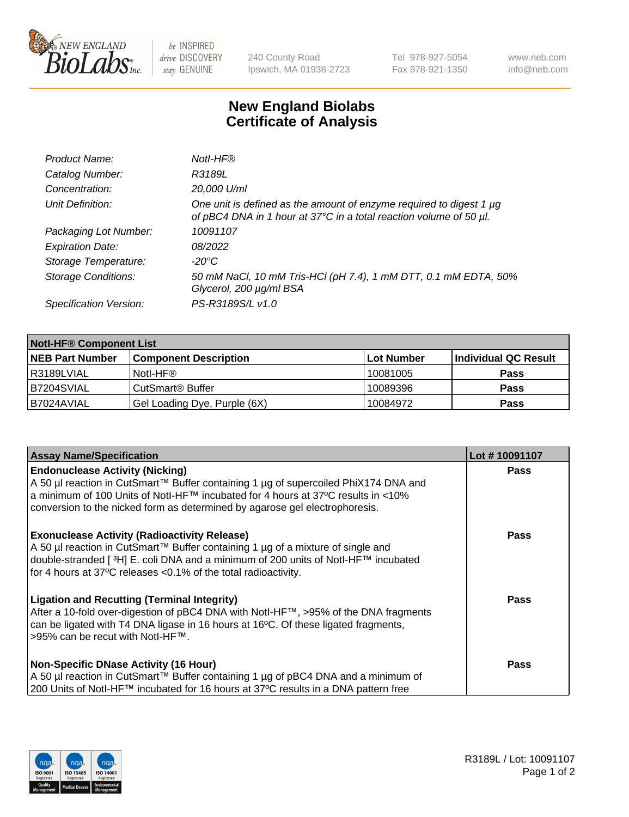

 $be$  INSPIRED drive DISCOVERY stay GENUINE

240 County Road Ipswich, MA 01938-2723 Tel 978-927-5054 Fax 978-921-1350 www.neb.com info@neb.com

## **New England Biolabs Certificate of Analysis**

| Product Name:              | Notl-HF®                                                                                                                                  |
|----------------------------|-------------------------------------------------------------------------------------------------------------------------------------------|
| Catalog Number:            | R3189L                                                                                                                                    |
| Concentration:             | 20,000 U/ml                                                                                                                               |
| Unit Definition:           | One unit is defined as the amount of enzyme required to digest 1 µg<br>of pBC4 DNA in 1 hour at 37°C in a total reaction volume of 50 µl. |
| Packaging Lot Number:      | 10091107                                                                                                                                  |
| <b>Expiration Date:</b>    | 08/2022                                                                                                                                   |
| Storage Temperature:       | $-20^{\circ}$ C                                                                                                                           |
| <b>Storage Conditions:</b> | 50 mM NaCl, 10 mM Tris-HCl (pH 7.4), 1 mM DTT, 0.1 mM EDTA, 50%<br>Glycerol, 200 µg/ml BSA                                                |
| Specification Version:     | PS-R3189S/L v1.0                                                                                                                          |

| <b>Notl-HF® Component List</b> |                              |            |                      |  |  |
|--------------------------------|------------------------------|------------|----------------------|--|--|
| <b>NEB Part Number</b>         | <b>Component Description</b> | Lot Number | Individual QC Result |  |  |
| R3189LVIAL                     | Notl-HF®                     | 10081005   | <b>Pass</b>          |  |  |
| B7204SVIAL                     | CutSmart <sup>®</sup> Buffer | 10089396   | <b>Pass</b>          |  |  |
| B7024AVIAL                     | Gel Loading Dye, Purple (6X) | 10084972   | <b>Pass</b>          |  |  |

| <b>Assay Name/Specification</b>                                                                                                                                                                                                                                                                              | Lot #10091107 |
|--------------------------------------------------------------------------------------------------------------------------------------------------------------------------------------------------------------------------------------------------------------------------------------------------------------|---------------|
| <b>Endonuclease Activity (Nicking)</b><br>  A 50 µl reaction in CutSmart™ Buffer containing 1 µg of supercoiled PhiX174 DNA and                                                                                                                                                                              | <b>Pass</b>   |
| a minimum of 100 Units of Notl-HF™ incubated for 4 hours at 37°C results in <10%<br>conversion to the nicked form as determined by agarose gel electrophoresis.                                                                                                                                              |               |
| <b>Exonuclease Activity (Radioactivity Release)</b><br>  A 50 µl reaction in CutSmart™ Buffer containing 1 µg of a mixture of single and<br>double-stranded [ <sup>3</sup> H] E. coli DNA and a minimum of 200 units of Notl-HF™ incubated<br>for 4 hours at 37°C releases <0.1% of the total radioactivity. | Pass          |
| <b>Ligation and Recutting (Terminal Integrity)</b><br>After a 10-fold over-digestion of pBC4 DNA with Notl-HF™, >95% of the DNA fragments<br>can be ligated with T4 DNA ligase in 16 hours at 16 <sup>o</sup> C. Of these ligated fragments,<br>1>95% can be recut with NotI-HF™.                            | Pass          |
| <b>Non-Specific DNase Activity (16 Hour)</b>                                                                                                                                                                                                                                                                 | <b>Pass</b>   |
| A 50 µl reaction in CutSmart™ Buffer containing 1 µg of pBC4 DNA and a minimum of<br>200 Units of Notl-HF™ incubated for 16 hours at 37°C results in a DNA pattern free                                                                                                                                      |               |